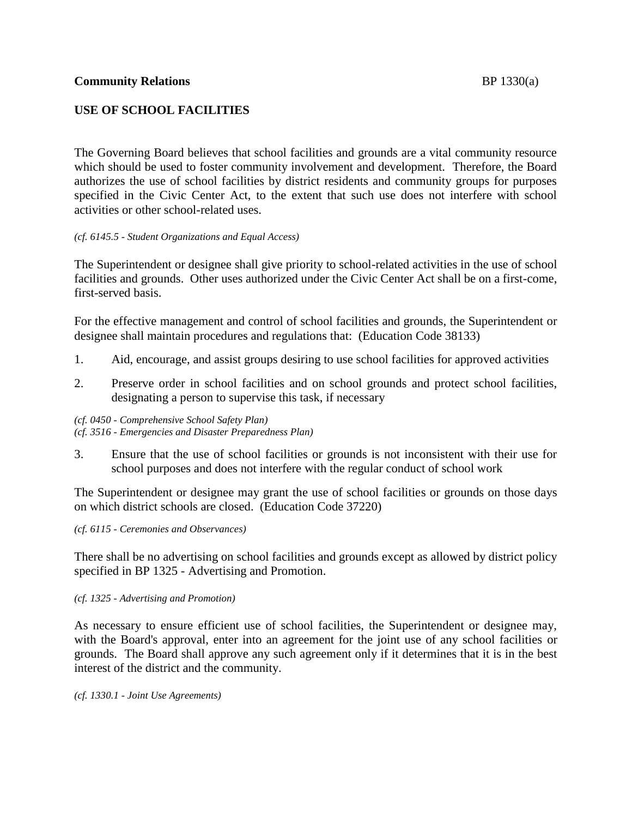The Governing Board believes that school facilities and grounds are a vital community resource which should be used to foster community involvement and development. Therefore, the Board authorizes the use of school facilities by district residents and community groups for purposes specified in the Civic Center Act, to the extent that such use does not interfere with school activities or other school-related uses.

# *(cf. 6145.5 - Student Organizations and Equal Access)*

The Superintendent or designee shall give priority to school-related activities in the use of school facilities and grounds. Other uses authorized under the Civic Center Act shall be on a first-come, first-served basis.

For the effective management and control of school facilities and grounds, the Superintendent or designee shall maintain procedures and regulations that: (Education Code 38133)

- 1. Aid, encourage, and assist groups desiring to use school facilities for approved activities
- 2. Preserve order in school facilities and on school grounds and protect school facilities, designating a person to supervise this task, if necessary

*(cf. 0450 - Comprehensive School Safety Plan) (cf. 3516 - Emergencies and Disaster Preparedness Plan)*

3. Ensure that the use of school facilities or grounds is not inconsistent with their use for school purposes and does not interfere with the regular conduct of school work

The Superintendent or designee may grant the use of school facilities or grounds on those days on which district schools are closed. (Education Code 37220)

#### *(cf. 6115 - Ceremonies and Observances)*

There shall be no advertising on school facilities and grounds except as allowed by district policy specified in BP 1325 - Advertising and Promotion.

#### *(cf. 1325 - Advertising and Promotion)*

As necessary to ensure efficient use of school facilities, the Superintendent or designee may, with the Board's approval, enter into an agreement for the joint use of any school facilities or grounds. The Board shall approve any such agreement only if it determines that it is in the best interest of the district and the community.

*(cf. 1330.1 - Joint Use Agreements)*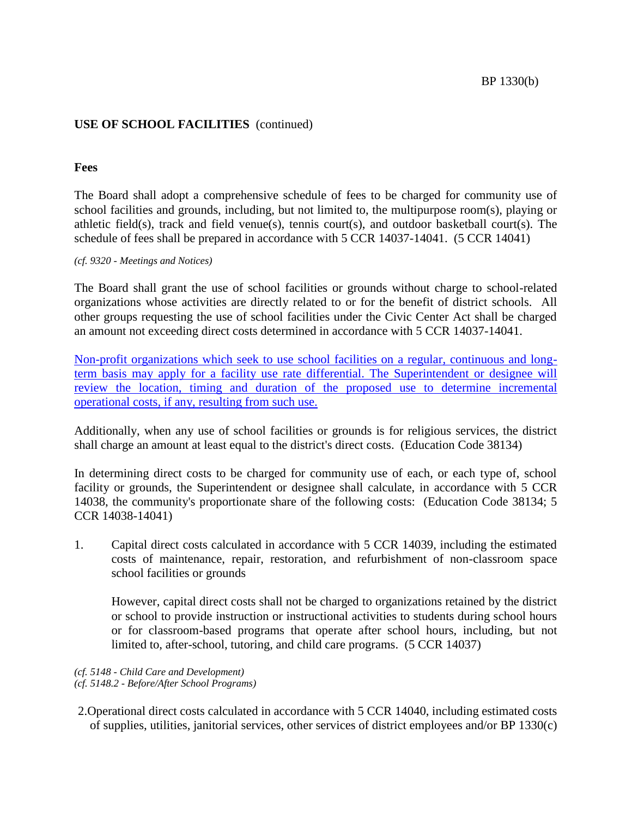# **USE OF SCHOOL FACILITIES** (continued)

# **Fees**

The Board shall adopt a comprehensive schedule of fees to be charged for community use of school facilities and grounds, including, but not limited to, the multipurpose room(s), playing or athletic field(s), track and field venue(s), tennis court(s), and outdoor basketball court(s). The schedule of fees shall be prepared in accordance with 5 CCR 14037-14041. (5 CCR 14041)

*(cf. 9320 - Meetings and Notices)*

The Board shall grant the use of school facilities or grounds without charge to school-related organizations whose activities are directly related to or for the benefit of district schools. All other groups requesting the use of school facilities under the Civic Center Act shall be charged an amount not exceeding direct costs determined in accordance with 5 CCR 14037-14041.

Non-profit organizations which seek to use school facilities on a regular, continuous and longterm basis may apply for a facility use rate differential. The Superintendent or designee will review the location, timing and duration of the proposed use to determine incremental operational costs, if any, resulting from such use.

Additionally, when any use of school facilities or grounds is for religious services, the district shall charge an amount at least equal to the district's direct costs. (Education Code 38134)

In determining direct costs to be charged for community use of each, or each type of, school facility or grounds, the Superintendent or designee shall calculate, in accordance with 5 CCR 14038, the community's proportionate share of the following costs: (Education Code 38134; 5 CCR 14038-14041)

1. Capital direct costs calculated in accordance with 5 CCR 14039, including the estimated costs of maintenance, repair, restoration, and refurbishment of non-classroom space school facilities or grounds

However, capital direct costs shall not be charged to organizations retained by the district or school to provide instruction or instructional activities to students during school hours or for classroom-based programs that operate after school hours, including, but not limited to, after-school, tutoring, and child care programs. (5 CCR 14037)

# *(cf. 5148 - Child Care and Development)*

*(cf. 5148.2 - Before/After School Programs)*

2.Operational direct costs calculated in accordance with 5 CCR 14040, including estimated costs of supplies, utilities, janitorial services, other services of district employees and/or BP 1330(c)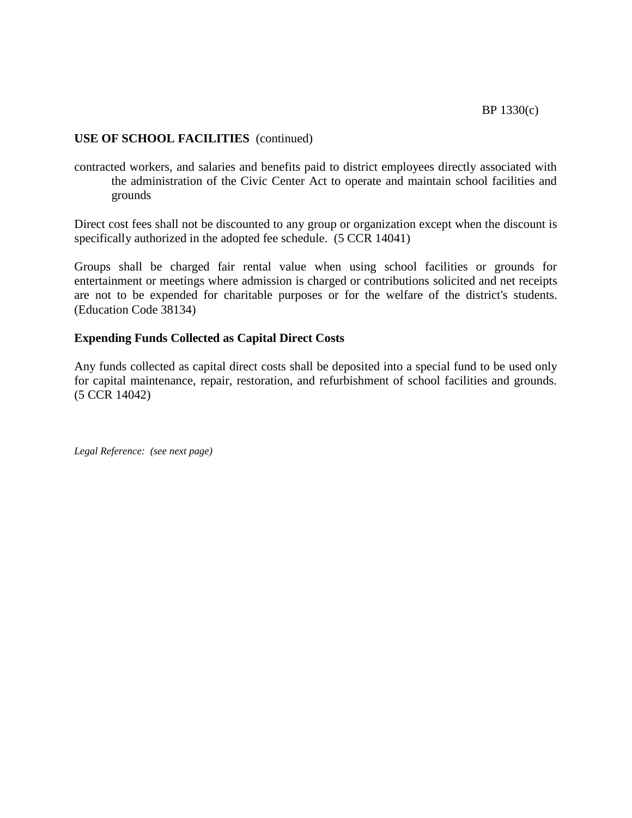# **USE OF SCHOOL FACILITIES** (continued)

contracted workers, and salaries and benefits paid to district employees directly associated with the administration of the Civic Center Act to operate and maintain school facilities and grounds

Direct cost fees shall not be discounted to any group or organization except when the discount is specifically authorized in the adopted fee schedule. (5 CCR 14041)

Groups shall be charged fair rental value when using school facilities or grounds for entertainment or meetings where admission is charged or contributions solicited and net receipts are not to be expended for charitable purposes or for the welfare of the district's students. (Education Code 38134)

# **Expending Funds Collected as Capital Direct Costs**

Any funds collected as capital direct costs shall be deposited into a special fund to be used only for capital maintenance, repair, restoration, and refurbishment of school facilities and grounds. (5 CCR 14042)

*Legal Reference: (see next page)*